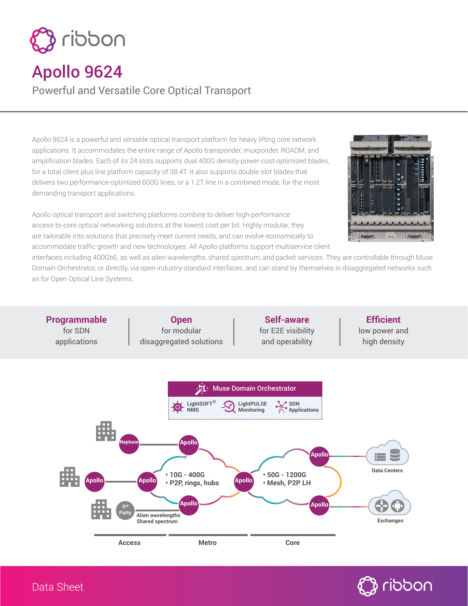

## Apollo 9624

Powerful and Versatile Core Optical Transport

Apollo 9624 is a powerful and versatile optical transport platform for heavy lifting core network applications. It accommodates the entire range of Apollo transponder, muxponder, ROADM, and amplification blades. Each of its 24 slots supports dual 400G density-power-cost-optimized blades, for a total client plus line platform capacity of 38.4T. It also supports double-slot blades that delivers two performance-optimized 600G lines, or a 1.2T line in a combined mode, for the most demanding transport applications.

Apollo optical transport and switching platforms combine to deliver high-performance access-to-core optical networking solutions at the lowest cost per bit. Highly modular, they are tailorable into solutions that precisely meet current needs, and can evolve economically to accommodate traffic growth and new technologies. All Apollo platforms support multiservice client



interfaces including 400GbE, as well as alien wavelengths, shared spectrum, and packet services. They are controllable through Muse Domain Orchestrator, or directly, via open industry-standard interfaces, and can stand by themselves in disaggregated networks such as for Open Optical Line Systems.